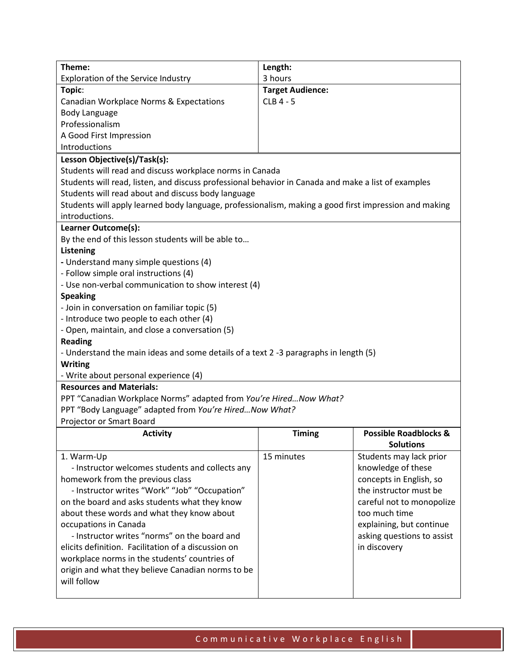| Theme:                                                                                                | Length:                 |                                  |  |
|-------------------------------------------------------------------------------------------------------|-------------------------|----------------------------------|--|
| Exploration of the Service Industry                                                                   | 3 hours                 |                                  |  |
| Topic:                                                                                                | <b>Target Audience:</b> |                                  |  |
| Canadian Workplace Norms & Expectations                                                               | <b>CLB 4 - 5</b>        |                                  |  |
| <b>Body Language</b>                                                                                  |                         |                                  |  |
| Professionalism                                                                                       |                         |                                  |  |
| A Good First Impression                                                                               |                         |                                  |  |
| Introductions                                                                                         |                         |                                  |  |
| Lesson Objective(s)/Task(s):                                                                          |                         |                                  |  |
| Students will read and discuss workplace norms in Canada                                              |                         |                                  |  |
| Students will read, listen, and discuss professional behavior in Canada and make a list of examples   |                         |                                  |  |
| Students will read about and discuss body language                                                    |                         |                                  |  |
| Students will apply learned body language, professionalism, making a good first impression and making |                         |                                  |  |
| introductions.                                                                                        |                         |                                  |  |
| Learner Outcome(s):                                                                                   |                         |                                  |  |
| By the end of this lesson students will be able to                                                    |                         |                                  |  |
| Listening                                                                                             |                         |                                  |  |
| - Understand many simple questions (4)                                                                |                         |                                  |  |
| - Follow simple oral instructions (4)                                                                 |                         |                                  |  |
| - Use non-verbal communication to show interest (4)                                                   |                         |                                  |  |
| <b>Speaking</b>                                                                                       |                         |                                  |  |
| - Join in conversation on familiar topic (5)                                                          |                         |                                  |  |
| - Introduce two people to each other (4)                                                              |                         |                                  |  |
| - Open, maintain, and close a conversation (5)                                                        |                         |                                  |  |
| <b>Reading</b>                                                                                        |                         |                                  |  |
| - Understand the main ideas and some details of a text 2 -3 paragraphs in length (5)                  |                         |                                  |  |
| <b>Writing</b>                                                                                        |                         |                                  |  |
| - Write about personal experience (4)                                                                 |                         |                                  |  |
| <b>Resources and Materials:</b>                                                                       |                         |                                  |  |
| PPT "Canadian Workplace Norms" adapted from You're Hired Now What?                                    |                         |                                  |  |
| PPT "Body Language" adapted from You're Hired Now What?                                               |                         |                                  |  |
| Projector or Smart Board                                                                              |                         |                                  |  |
| <b>Activity</b>                                                                                       | <b>Timing</b>           | <b>Possible Roadblocks &amp;</b> |  |
|                                                                                                       |                         | <b>Solutions</b>                 |  |
| 1. Warm-Up                                                                                            | 15 minutes              | Students may lack prior          |  |
| - Instructor welcomes students and collects any                                                       |                         | knowledge of these               |  |
| homework from the previous class                                                                      |                         | concepts in English, so          |  |
| - Instructor writes "Work" "Job" "Occupation"                                                         |                         | the instructor must be           |  |
| on the board and asks students what they know                                                         |                         | careful not to monopolize        |  |
| about these words and what they know about                                                            |                         | too much time                    |  |
| occupations in Canada                                                                                 |                         | explaining, but continue         |  |
| - Instructor writes "norms" on the board and                                                          |                         | asking questions to assist       |  |
| elicits definition. Facilitation of a discussion on                                                   |                         | in discovery                     |  |
| workplace norms in the students' countries of                                                         |                         |                                  |  |
| origin and what they believe Canadian norms to be                                                     |                         |                                  |  |
| will follow                                                                                           |                         |                                  |  |
|                                                                                                       |                         |                                  |  |